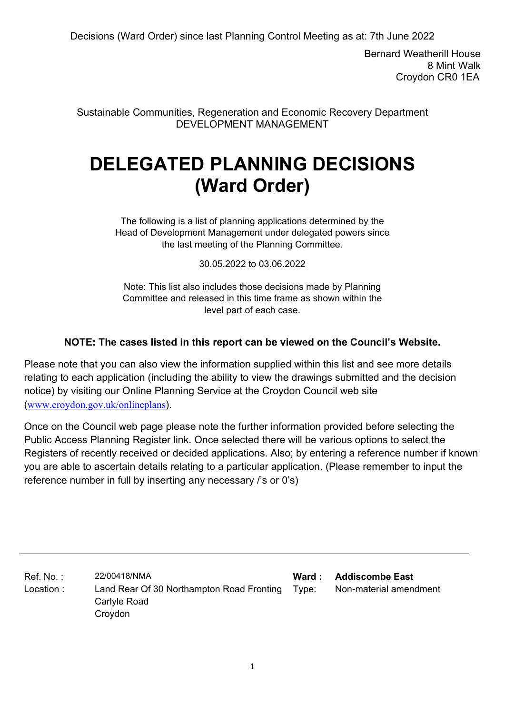Bernard Weatherill House 8 Mint Walk Croydon CR0 1EA

Sustainable Communities, Regeneration and Economic Recovery Department DEVELOPMENT MANAGEMENT

# **DELEGATED PLANNING DECISIONS (Ward Order)**

The following is a list of planning applications determined by the Head of Development Management under delegated powers since the last meeting of the Planning Committee.

30.05.2022 to 03.06.2022

Note: This list also includes those decisions made by Planning Committee and released in this time frame as shown within the level part of each case.

### **NOTE: The cases listed in this report can be viewed on the Council's Website.**

Please note that you can also view the information supplied within this list and see more details relating to each application (including the ability to view the drawings submitted and the decision notice) by visiting our Online Planning Service at the Croydon Council web site (www.croydon.gov.uk/onlineplans).

Once on the Council web page please note the further information provided before selecting the Public Access Planning Register link. Once selected there will be various options to select the Registers of recently received or decided applications. Also; by entering a reference number if known you are able to ascertain details relating to a particular application. (Please remember to input the reference number in full by inserting any necessary /'s or 0's)

Ref. No. : 22/00418/NMA **Ward : Addiscombe East** Location : Land Rear Of 30 Northampton Road Fronting Type: Carlyle Road Croydon Non-material amendment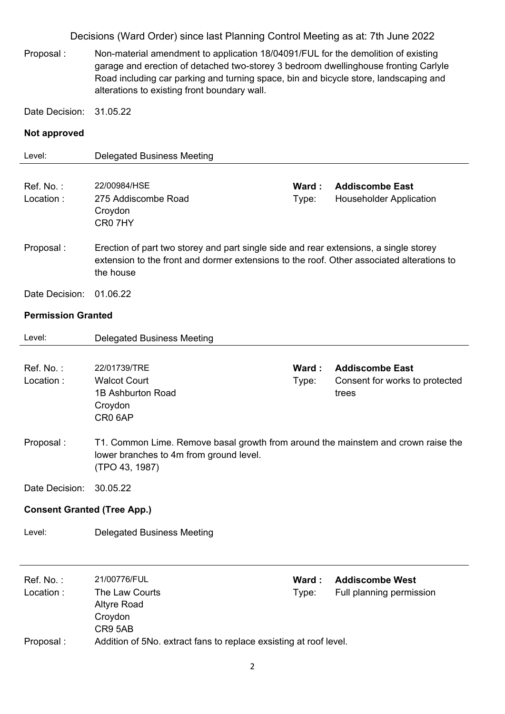Proposal : Non-material amendment to application 18/04091/FUL for the demolition of existing garage and erection of detached two-storey 3 bedroom dwellinghouse fronting Carlyle Road including car parking and turning space, bin and bicycle store, landscaping and alterations to existing front boundary wall.

Date Decision: 31.05.22

#### **Not approved**

| Level:                             | <b>Delegated Business Meeting</b>                                                                                                                                                               |                |                                                                   |
|------------------------------------|-------------------------------------------------------------------------------------------------------------------------------------------------------------------------------------------------|----------------|-------------------------------------------------------------------|
| Ref. No.:<br>Location:             | 22/00984/HSE<br>275 Addiscombe Road<br>Croydon<br>CR07HY                                                                                                                                        | Ward:<br>Type: | <b>Addiscombe East</b><br><b>Householder Application</b>          |
| Proposal:                          | Erection of part two storey and part single side and rear extensions, a single storey<br>extension to the front and dormer extensions to the roof. Other associated alterations to<br>the house |                |                                                                   |
| Date Decision:                     | 01.06.22                                                                                                                                                                                        |                |                                                                   |
| <b>Permission Granted</b>          |                                                                                                                                                                                                 |                |                                                                   |
| Level:                             | <b>Delegated Business Meeting</b>                                                                                                                                                               |                |                                                                   |
| Ref. No.:<br>Location:             | 22/01739/TRE<br><b>Walcot Court</b><br>1B Ashburton Road<br>Croydon<br>CR <sub>0</sub> 6AP                                                                                                      | Ward:<br>Type: | <b>Addiscombe East</b><br>Consent for works to protected<br>trees |
| Proposal:                          | T1. Common Lime. Remove basal growth from around the mainstem and crown raise the<br>lower branches to 4m from ground level.<br>(TPO 43, 1987)                                                  |                |                                                                   |
| Date Decision:                     | 30.05.22                                                                                                                                                                                        |                |                                                                   |
| <b>Consent Granted (Tree App.)</b> |                                                                                                                                                                                                 |                |                                                                   |
| Level:                             | <b>Delegated Business Meeting</b>                                                                                                                                                               |                |                                                                   |

| Ref. No. :<br>Location : | 21/00776/FUL<br>The Law Courts<br>Altyre Road                                           | Ward :<br>Tvpe: | <b>Addiscombe West</b><br>Full planning permission |
|--------------------------|-----------------------------------------------------------------------------------------|-----------------|----------------------------------------------------|
| Proposal :               | Croydon<br>CR9 5AB<br>Addition of 5No. extract fans to replace exsisting at roof level. |                 |                                                    |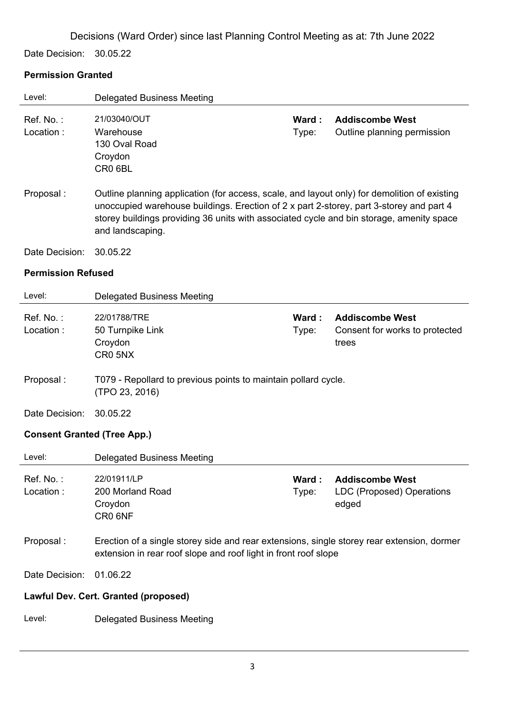Date Decision: 30.05.22

### **Permission Granted**

| Level:                             | <b>Delegated Business Meeting</b>                                                                                                                                                                                                                                                                       |                |                                                                     |  |  |
|------------------------------------|---------------------------------------------------------------------------------------------------------------------------------------------------------------------------------------------------------------------------------------------------------------------------------------------------------|----------------|---------------------------------------------------------------------|--|--|
| Ref. No.:<br>Location:             | 21/03040/OUT<br>Warehouse<br>130 Oval Road<br>Croydon<br>CR0 6BL                                                                                                                                                                                                                                        | Ward:<br>Type: | <b>Addiscombe West</b><br>Outline planning permission               |  |  |
| Proposal:                          | Outline planning application (for access, scale, and layout only) for demolition of existing<br>unoccupied warehouse buildings. Erection of 2 x part 2-storey, part 3-storey and part 4<br>storey buildings providing 36 units with associated cycle and bin storage, amenity space<br>and landscaping. |                |                                                                     |  |  |
| Date Decision:                     | 30.05.22                                                                                                                                                                                                                                                                                                |                |                                                                     |  |  |
| <b>Permission Refused</b>          |                                                                                                                                                                                                                                                                                                         |                |                                                                     |  |  |
| Level:                             | <b>Delegated Business Meeting</b>                                                                                                                                                                                                                                                                       |                |                                                                     |  |  |
| Ref. No.:<br>Location:             | 22/01788/TRE<br>50 Turnpike Link<br>Croydon<br>CR0 5NX                                                                                                                                                                                                                                                  | Ward:<br>Type: | <b>Addiscombe West</b><br>Consent for works to protected<br>trees   |  |  |
| Proposal:                          | T079 - Repollard to previous points to maintain pollard cycle.<br>(TPO 23, 2016)                                                                                                                                                                                                                        |                |                                                                     |  |  |
| Date Decision:                     | 30.05.22                                                                                                                                                                                                                                                                                                |                |                                                                     |  |  |
| <b>Consent Granted (Tree App.)</b> |                                                                                                                                                                                                                                                                                                         |                |                                                                     |  |  |
| Level:                             | <b>Delegated Business Meeting</b>                                                                                                                                                                                                                                                                       |                |                                                                     |  |  |
| Ref. No.:<br>Location:             | 22/01911/LP<br>200 Morland Road<br>Croydon<br>CR0 6NF                                                                                                                                                                                                                                                   | Ward:<br>Type: | <b>Addiscombe West</b><br><b>LDC (Proposed) Operations</b><br>edged |  |  |
| Proposal:                          | Erection of a single storey side and rear extensions, single storey rear extension, dormer<br>extension in rear roof slope and roof light in front roof slope                                                                                                                                           |                |                                                                     |  |  |
| Date Decision:                     | 01.06.22                                                                                                                                                                                                                                                                                                |                |                                                                     |  |  |
|                                    | Lawful Dev. Cert. Granted (proposed)                                                                                                                                                                                                                                                                    |                |                                                                     |  |  |
| Level:                             | <b>Delegated Business Meeting</b>                                                                                                                                                                                                                                                                       |                |                                                                     |  |  |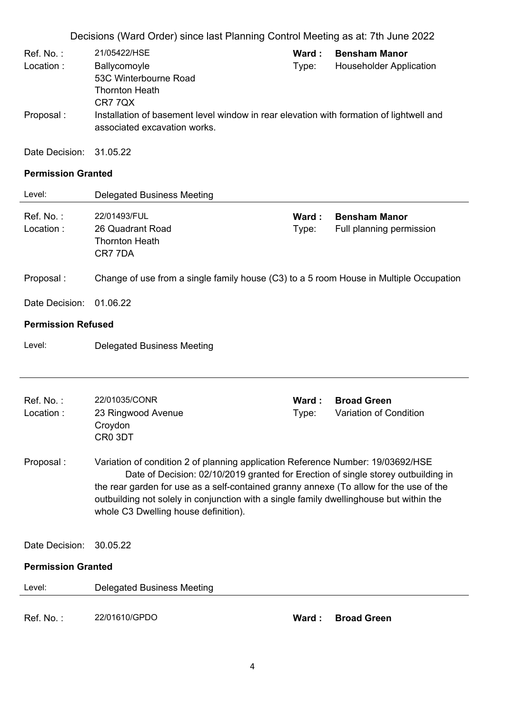| Ref. No. : | 21/05422/HSE                                                                                                            | Ward : | <b>Bensham Manor</b>           |
|------------|-------------------------------------------------------------------------------------------------------------------------|--------|--------------------------------|
| Location:  | Ballycomoyle                                                                                                            | Type:  | <b>Householder Application</b> |
|            | 53C Winterbourne Road                                                                                                   |        |                                |
|            | <b>Thornton Heath</b>                                                                                                   |        |                                |
|            | CR7 7QX                                                                                                                 |        |                                |
| Proposal:  | Installation of basement level window in rear elevation with formation of lightwell and<br>associated excavation works. |        |                                |

Date Decision: 31.05.22

### **Permission Granted**

| Level:                    | <b>Delegated Business Meeting</b>                                                                                                                                                                                                                                                                                                                                                                 |                 |                                                  |
|---------------------------|---------------------------------------------------------------------------------------------------------------------------------------------------------------------------------------------------------------------------------------------------------------------------------------------------------------------------------------------------------------------------------------------------|-----------------|--------------------------------------------------|
| Ref. No.:<br>Location:    | 22/01493/FUL<br>26 Quadrant Road<br><b>Thornton Heath</b><br>CR7 7DA                                                                                                                                                                                                                                                                                                                              | Ward:<br>Type:  | <b>Bensham Manor</b><br>Full planning permission |
| Proposal:                 | Change of use from a single family house (C3) to a 5 room House in Multiple Occupation                                                                                                                                                                                                                                                                                                            |                 |                                                  |
| Date Decision:            | 01.06.22                                                                                                                                                                                                                                                                                                                                                                                          |                 |                                                  |
| <b>Permission Refused</b> |                                                                                                                                                                                                                                                                                                                                                                                                   |                 |                                                  |
| Level:                    | <b>Delegated Business Meeting</b>                                                                                                                                                                                                                                                                                                                                                                 |                 |                                                  |
|                           |                                                                                                                                                                                                                                                                                                                                                                                                   |                 |                                                  |
| Ref. No.:<br>Location:    | 22/01035/CONR<br>23 Ringwood Avenue<br>Croydon<br>CR0 3DT                                                                                                                                                                                                                                                                                                                                         | Ward :<br>Type: | <b>Broad Green</b><br>Variation of Condition     |
| Proposal:                 | Variation of condition 2 of planning application Reference Number: 19/03692/HSE<br>Date of Decision: 02/10/2019 granted for Erection of single storey outbuilding in<br>the rear garden for use as a self-contained granny annexe (To allow for the use of the<br>outbuilding not solely in conjunction with a single family dwellinghouse but within the<br>whole C3 Dwelling house definition). |                 |                                                  |
| Date Decision:            | 30.05.22                                                                                                                                                                                                                                                                                                                                                                                          |                 |                                                  |
| <b>Permission Granted</b> |                                                                                                                                                                                                                                                                                                                                                                                                   |                 |                                                  |
| Level:                    | <b>Delegated Business Meeting</b>                                                                                                                                                                                                                                                                                                                                                                 |                 |                                                  |
| Ref. No.:                 | 22/01610/GPDO                                                                                                                                                                                                                                                                                                                                                                                     | Ward:           | <b>Broad Green</b>                               |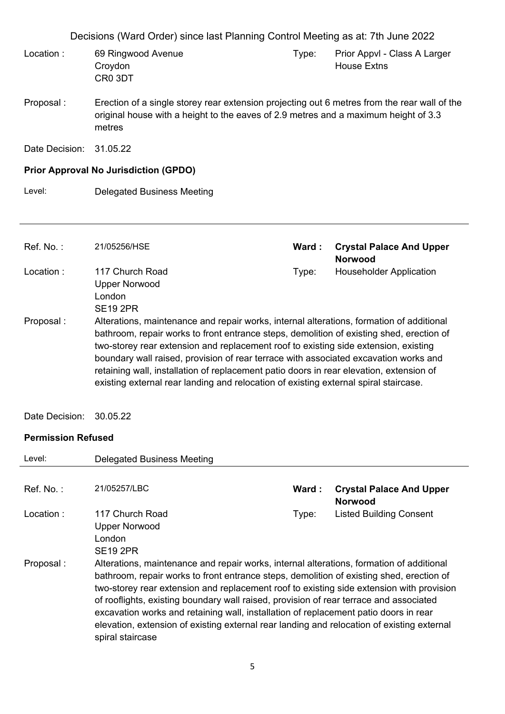| Decisions (Ward Order) since last Planning Control Meeting as at: 7th June 2022 |                                                                                                                                                                                               |       |                                                    |
|---------------------------------------------------------------------------------|-----------------------------------------------------------------------------------------------------------------------------------------------------------------------------------------------|-------|----------------------------------------------------|
| Location:                                                                       | 69 Ringwood Avenue<br>Croydon<br>CR0 3DT                                                                                                                                                      | Type: | Prior Appvl - Class A Larger<br><b>House Extns</b> |
| Proposal:                                                                       | Erection of a single storey rear extension projecting out 6 metres from the rear wall of the<br>original house with a height to the eaves of 2.9 metres and a maximum height of 3.3<br>metres |       |                                                    |
| Date Decision:                                                                  | 31.05.22                                                                                                                                                                                      |       |                                                    |
|                                                                                 | <b>Prior Approval No Jurisdiction (GPDO)</b>                                                                                                                                                  |       |                                                    |
| Level:                                                                          | <b>Delegated Business Meeting</b>                                                                                                                                                             |       |                                                    |
|                                                                                 |                                                                                                                                                                                               |       |                                                    |
|                                                                                 |                                                                                                                                                                                               |       |                                                    |
|                                                                                 |                                                                                                                                                                                               |       |                                                    |
| Ref. No.:                                                                       | 21/05256/HSE                                                                                                                                                                                  | Ward: | <b>Crystal Palace And Upper</b><br><b>Norwood</b>  |
| Location:                                                                       | 117 Church Road<br><b>Upper Norwood</b><br>London<br><b>SE19 2PR</b>                                                                                                                          | Type: | <b>Householder Application</b>                     |

Date Decision: 30.05.22

### **Permission Refused**

| Level:       | Delegated Business Meeting                                                                                                                                                                                                                                                                                                                                                                                                                                                                                                                                                           |       |                                                   |
|--------------|--------------------------------------------------------------------------------------------------------------------------------------------------------------------------------------------------------------------------------------------------------------------------------------------------------------------------------------------------------------------------------------------------------------------------------------------------------------------------------------------------------------------------------------------------------------------------------------|-------|---------------------------------------------------|
| $Ref. No.$ : | 21/05257/LBC                                                                                                                                                                                                                                                                                                                                                                                                                                                                                                                                                                         | Ward: | <b>Crystal Palace And Upper</b><br><b>Norwood</b> |
| Location :   | 117 Church Road<br><b>Upper Norwood</b><br>London<br><b>SE19 2PR</b>                                                                                                                                                                                                                                                                                                                                                                                                                                                                                                                 | Type: | <b>Listed Building Consent</b>                    |
| Proposal :   | Alterations, maintenance and repair works, internal alterations, formation of additional<br>bathroom, repair works to front entrance steps, demolition of existing shed, erection of<br>two-storey rear extension and replacement roof to existing side extension with provision<br>of rooflights, existing boundary wall raised, provision of rear terrace and associated<br>excavation works and retaining wall, installation of replacement patio doors in rear<br>elevation, extension of existing external rear landing and relocation of existing external<br>spiral staircase |       |                                                   |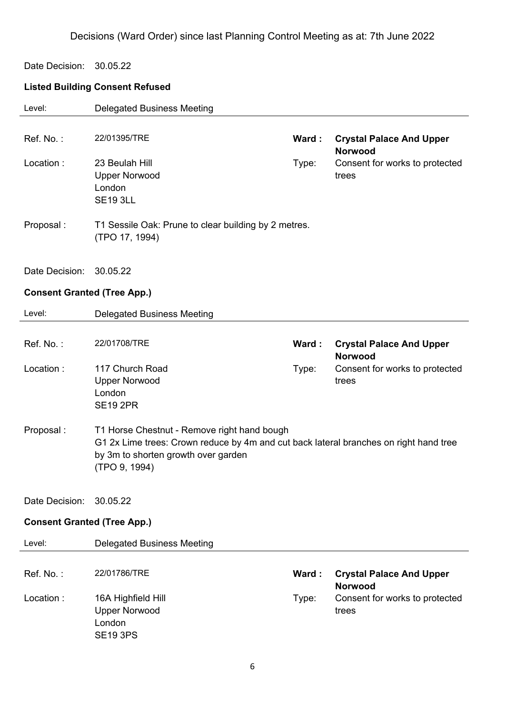Date Decision: 30.05.22

### **Listed Building Consent Refused**

| Level:                             | <b>Delegated Business Meeting</b>                                                                                                                                                            |       |                                                   |
|------------------------------------|----------------------------------------------------------------------------------------------------------------------------------------------------------------------------------------------|-------|---------------------------------------------------|
| Ref. No.:                          | 22/01395/TRE                                                                                                                                                                                 | Ward: | <b>Crystal Palace And Upper</b><br><b>Norwood</b> |
| Location:                          | 23 Beulah Hill<br><b>Upper Norwood</b><br>London<br><b>SE19 3LL</b>                                                                                                                          | Type: | Consent for works to protected<br>trees           |
| Proposal:                          | T1 Sessile Oak: Prune to clear building by 2 metres.<br>(TPO 17, 1994)                                                                                                                       |       |                                                   |
| Date Decision:                     | 30.05.22                                                                                                                                                                                     |       |                                                   |
| <b>Consent Granted (Tree App.)</b> |                                                                                                                                                                                              |       |                                                   |
| Level:                             | <b>Delegated Business Meeting</b>                                                                                                                                                            |       |                                                   |
| Ref. No.:                          | 22/01708/TRE                                                                                                                                                                                 | Ward: | <b>Crystal Palace And Upper</b><br><b>Norwood</b> |
| Location:                          | 117 Church Road<br><b>Upper Norwood</b><br>London<br><b>SE19 2PR</b>                                                                                                                         | Type: | Consent for works to protected<br>trees           |
| Proposal:                          | T1 Horse Chestnut - Remove right hand bough<br>G1 2x Lime trees: Crown reduce by 4m and cut back lateral branches on right hand tree<br>by 3m to shorten growth over garden<br>(TPO 9, 1994) |       |                                                   |
| Date Decision:                     | 30.05.22                                                                                                                                                                                     |       |                                                   |
| <b>Consent Granted (Tree App.)</b> |                                                                                                                                                                                              |       |                                                   |
| Level:                             | <b>Delegated Business Meeting</b>                                                                                                                                                            |       |                                                   |
| Ref. No.:                          | 22/01786/TRE                                                                                                                                                                                 | Ward: | <b>Crystal Palace And Upper</b><br><b>Norwood</b> |
| Location:                          | 16A Highfield Hill<br><b>Upper Norwood</b><br>London<br><b>SE19 3PS</b>                                                                                                                      | Type: | Consent for works to protected<br>trees           |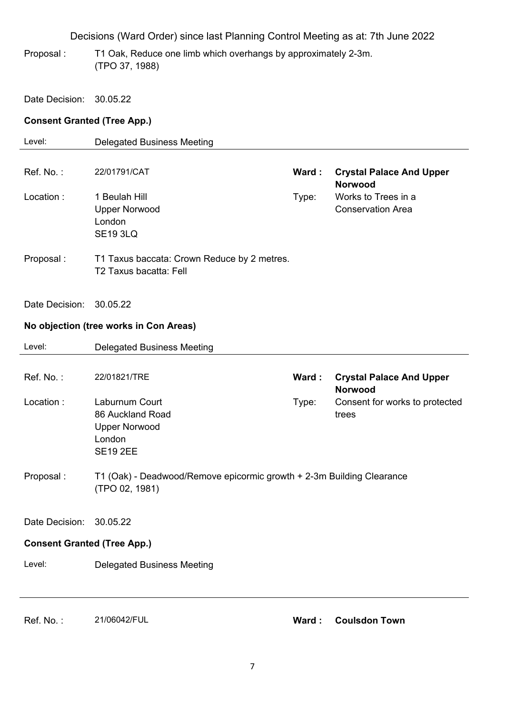- Proposal : T1 Oak, Reduce one limb which overhangs by approximately 2-3m. (TPO 37, 1988)
- Date Decision: 30.05.22

### **Consent Granted (Tree App.)**

| Level:                             | <b>Delegated Business Meeting</b>                                                       |       |                                                   |
|------------------------------------|-----------------------------------------------------------------------------------------|-------|---------------------------------------------------|
|                                    |                                                                                         |       |                                                   |
| Ref. No.:                          | 22/01791/CAT                                                                            | Ward: | <b>Crystal Palace And Upper</b><br><b>Norwood</b> |
| Location:                          | 1 Beulah Hill<br><b>Upper Norwood</b><br>London<br><b>SE19 3LQ</b>                      | Type: | Works to Trees in a<br><b>Conservation Area</b>   |
| Proposal:                          | T1 Taxus baccata: Crown Reduce by 2 metres.<br>T2 Taxus bacatta: Fell                   |       |                                                   |
| Date Decision:                     | 30.05.22                                                                                |       |                                                   |
|                                    | No objection (tree works in Con Areas)                                                  |       |                                                   |
| Level:                             | <b>Delegated Business Meeting</b>                                                       |       |                                                   |
| Ref. No.:                          | 22/01821/TRE                                                                            | Ward: | <b>Crystal Palace And Upper</b><br><b>Norwood</b> |
| Location:                          | Laburnum Court<br>86 Auckland Road<br><b>Upper Norwood</b><br>London<br><b>SE19 2EE</b> | Type: | Consent for works to protected<br>trees           |
| Proposal:                          | T1 (Oak) - Deadwood/Remove epicormic growth + 2-3m Building Clearance<br>(TPO 02, 1981) |       |                                                   |
| Date Decision:                     | 30.05.22                                                                                |       |                                                   |
| <b>Consent Granted (Tree App.)</b> |                                                                                         |       |                                                   |
| Level:                             | <b>Delegated Business Meeting</b>                                                       |       |                                                   |
|                                    |                                                                                         |       |                                                   |
| Ref. No.:                          | 21/06042/FUL                                                                            |       | Ward: Coulsdon Town                               |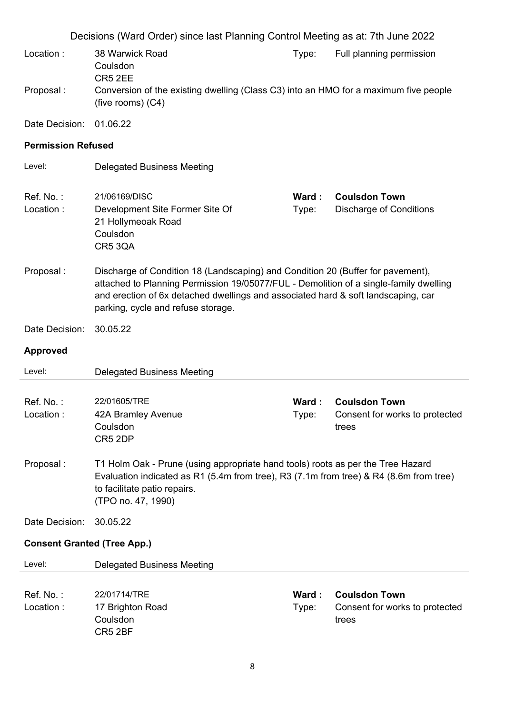|                                    | Decisions (Ward Order) since last Planning Control Meeting as at: 7th June 2022                                                                                                                                                                                                                     |                |                                                                 |  |
|------------------------------------|-----------------------------------------------------------------------------------------------------------------------------------------------------------------------------------------------------------------------------------------------------------------------------------------------------|----------------|-----------------------------------------------------------------|--|
| Location:                          | 38 Warwick Road<br>Coulsdon<br>CR5 2EE                                                                                                                                                                                                                                                              | Type:          | Full planning permission                                        |  |
| Proposal:                          | Conversion of the existing dwelling (Class C3) into an HMO for a maximum five people<br>(five rooms) (C4)                                                                                                                                                                                           |                |                                                                 |  |
| Date Decision:                     | 01.06.22                                                                                                                                                                                                                                                                                            |                |                                                                 |  |
| <b>Permission Refused</b>          |                                                                                                                                                                                                                                                                                                     |                |                                                                 |  |
| Level:                             | <b>Delegated Business Meeting</b>                                                                                                                                                                                                                                                                   |                |                                                                 |  |
| Ref. No.:<br>Location:             | 21/06169/DISC<br>Development Site Former Site Of<br>21 Hollymeoak Road<br>Coulsdon<br><b>CR5 3QA</b>                                                                                                                                                                                                | Ward:<br>Type: | <b>Coulsdon Town</b><br><b>Discharge of Conditions</b>          |  |
| Proposal:                          | Discharge of Condition 18 (Landscaping) and Condition 20 (Buffer for pavement),<br>attached to Planning Permission 19/05077/FUL - Demolition of a single-family dwelling<br>and erection of 6x detached dwellings and associated hard & soft landscaping, car<br>parking, cycle and refuse storage. |                |                                                                 |  |
| Date Decision:                     | 30.05.22                                                                                                                                                                                                                                                                                            |                |                                                                 |  |
| <b>Approved</b>                    |                                                                                                                                                                                                                                                                                                     |                |                                                                 |  |
| Level:                             | <b>Delegated Business Meeting</b>                                                                                                                                                                                                                                                                   |                |                                                                 |  |
| Ref. No.:<br>Location:             | 22/01605/TRE<br>42A Bramley Avenue<br>Coulsdon<br>CR5 2DP                                                                                                                                                                                                                                           | Ward:<br>Type: | <b>Coulsdon Town</b><br>Consent for works to protected<br>trees |  |
| Proposal:                          | T1 Holm Oak - Prune (using appropriate hand tools) roots as per the Tree Hazard<br>Evaluation indicated as R1 (5.4m from tree), R3 (7.1m from tree) & R4 (8.6m from tree)<br>to facilitate patio repairs.<br>(TPO no. 47, 1990)                                                                     |                |                                                                 |  |
| Date Decision:                     | 30.05.22                                                                                                                                                                                                                                                                                            |                |                                                                 |  |
| <b>Consent Granted (Tree App.)</b> |                                                                                                                                                                                                                                                                                                     |                |                                                                 |  |
| Level:                             | <b>Delegated Business Meeting</b>                                                                                                                                                                                                                                                                   |                |                                                                 |  |
| Ref. No.:<br>Location:             | 22/01714/TRE<br>17 Brighton Road<br>Coulsdon<br>CR5 2BF                                                                                                                                                                                                                                             | Ward:<br>Type: | <b>Coulsdon Town</b><br>Consent for works to protected<br>trees |  |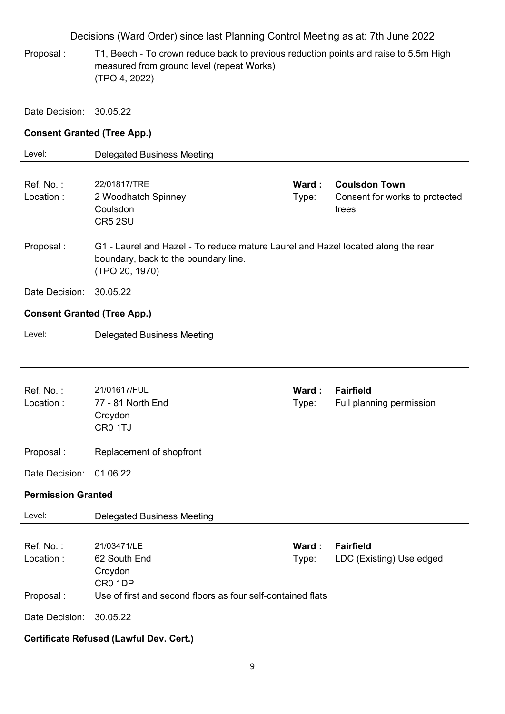Proposal : T1, Beech - To crown reduce back to previous reduction points and raise to 5.5m High measured from ground level (repeat Works) (TPO 4, 2022)

Date Decision: 30.05.22

### **Consent Granted (Tree App.)**

| Level:                              | <b>Delegated Business Meeting</b>                                                                                                          |                 |                                                                 |
|-------------------------------------|--------------------------------------------------------------------------------------------------------------------------------------------|-----------------|-----------------------------------------------------------------|
| Ref. No.:<br>Location:              | 22/01817/TRE<br>2 Woodhatch Spinney<br>Coulsdon<br>CR5 2SU                                                                                 | Ward :<br>Type: | <b>Coulsdon Town</b><br>Consent for works to protected<br>trees |
| Proposal:                           | G1 - Laurel and Hazel - To reduce mature Laurel and Hazel located along the rear<br>boundary, back to the boundary line.<br>(TPO 20, 1970) |                 |                                                                 |
| Date Decision:                      | 30.05.22                                                                                                                                   |                 |                                                                 |
| <b>Consent Granted (Tree App.)</b>  |                                                                                                                                            |                 |                                                                 |
| Level:                              | <b>Delegated Business Meeting</b>                                                                                                          |                 |                                                                 |
|                                     |                                                                                                                                            |                 |                                                                 |
| Ref. No.:<br>Location:              | 21/01617/FUL<br>77 - 81 North End<br>Croydon<br>CR0 1TJ                                                                                    | Ward:<br>Type:  | <b>Fairfield</b><br>Full planning permission                    |
| Proposal:                           | Replacement of shopfront                                                                                                                   |                 |                                                                 |
| Date Decision:                      | 01.06.22                                                                                                                                   |                 |                                                                 |
| <b>Permission Granted</b>           |                                                                                                                                            |                 |                                                                 |
| Level:                              | <b>Delegated Business Meeting</b>                                                                                                          |                 |                                                                 |
| Ref. No.:<br>Location:<br>Proposal: | 21/03471/LE<br>62 South End<br>Croydon<br>CR0 1DP<br>Use of first and second floors as four self-contained flats                           | Ward :<br>Type: | <b>Fairfield</b><br>LDC (Existing) Use edged                    |
| Date Decision:                      | 30.05.22                                                                                                                                   |                 |                                                                 |
|                                     | <b>Certificate Refused (Lawful Dev. Cert.)</b>                                                                                             |                 |                                                                 |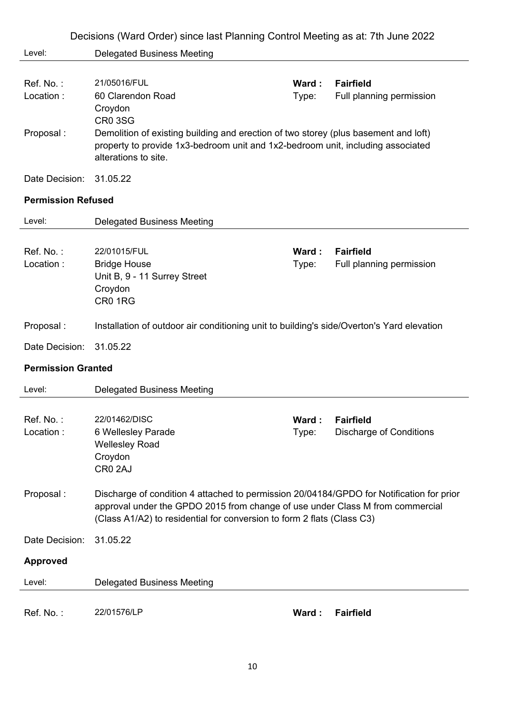|                           | Decisions (Ward Order) since last Planning Control Meeting as at: 7th June 2022                                                                                                                                                                     |                |                                                    |
|---------------------------|-----------------------------------------------------------------------------------------------------------------------------------------------------------------------------------------------------------------------------------------------------|----------------|----------------------------------------------------|
| Level:                    | <b>Delegated Business Meeting</b>                                                                                                                                                                                                                   |                |                                                    |
| Ref. No.:<br>Location:    | 21/05016/FUL<br>60 Clarendon Road<br>Croydon<br><b>CR0 3SG</b>                                                                                                                                                                                      | Ward:<br>Type: | <b>Fairfield</b><br>Full planning permission       |
| Proposal:                 | Demolition of existing building and erection of two storey (plus basement and loft)<br>property to provide 1x3-bedroom unit and 1x2-bedroom unit, including associated<br>alterations to site.                                                      |                |                                                    |
| Date Decision:            | 31.05.22                                                                                                                                                                                                                                            |                |                                                    |
| <b>Permission Refused</b> |                                                                                                                                                                                                                                                     |                |                                                    |
| Level:                    | <b>Delegated Business Meeting</b>                                                                                                                                                                                                                   |                |                                                    |
| Ref. No.:<br>Location:    | 22/01015/FUL<br><b>Bridge House</b><br>Unit B, 9 - 11 Surrey Street<br>Croydon<br>CR01RG                                                                                                                                                            | Ward:<br>Type: | <b>Fairfield</b><br>Full planning permission       |
| Proposal:                 | Installation of outdoor air conditioning unit to building's side/Overton's Yard elevation                                                                                                                                                           |                |                                                    |
| Date Decision:            | 31.05.22                                                                                                                                                                                                                                            |                |                                                    |
| <b>Permission Granted</b> |                                                                                                                                                                                                                                                     |                |                                                    |
| Level:                    | <b>Delegated Business Meeting</b>                                                                                                                                                                                                                   |                |                                                    |
| Ref. No.:<br>Location:    | 22/01462/DISC<br>6 Wellesley Parade<br><b>Wellesley Road</b><br>Croydon<br>CR0 2AJ                                                                                                                                                                  | Ward:<br>Type: | <b>Fairfield</b><br><b>Discharge of Conditions</b> |
| Proposal:                 | Discharge of condition 4 attached to permission 20/04184/GPDO for Notification for prior<br>approval under the GPDO 2015 from change of use under Class M from commercial<br>(Class A1/A2) to residential for conversion to form 2 flats (Class C3) |                |                                                    |
| Date Decision:            | 31.05.22                                                                                                                                                                                                                                            |                |                                                    |
| <b>Approved</b>           |                                                                                                                                                                                                                                                     |                |                                                    |
| Level:                    | <b>Delegated Business Meeting</b>                                                                                                                                                                                                                   |                |                                                    |
| Ref. No.:                 | 22/01576/LP                                                                                                                                                                                                                                         | Ward:          | <b>Fairfield</b>                                   |

10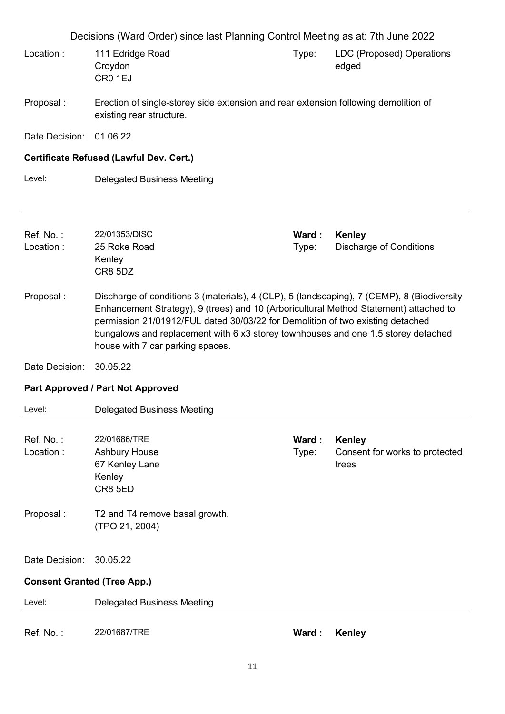|                                                                                                                                                                                                                                                                                                                                                                                                             | Decisions (Ward Order) since last Planning Control Meeting as at: 7th June 2022                                 |                |                                                          |  |
|-------------------------------------------------------------------------------------------------------------------------------------------------------------------------------------------------------------------------------------------------------------------------------------------------------------------------------------------------------------------------------------------------------------|-----------------------------------------------------------------------------------------------------------------|----------------|----------------------------------------------------------|--|
| Location:                                                                                                                                                                                                                                                                                                                                                                                                   | 111 Edridge Road<br>Croydon<br>CR <sub>0</sub> 1EJ                                                              | Type:          | LDC (Proposed) Operations<br>edged                       |  |
| Proposal:                                                                                                                                                                                                                                                                                                                                                                                                   | Erection of single-storey side extension and rear extension following demolition of<br>existing rear structure. |                |                                                          |  |
| Date Decision:                                                                                                                                                                                                                                                                                                                                                                                              | 01.06.22                                                                                                        |                |                                                          |  |
|                                                                                                                                                                                                                                                                                                                                                                                                             | Certificate Refused (Lawful Dev. Cert.)                                                                         |                |                                                          |  |
| Level:                                                                                                                                                                                                                                                                                                                                                                                                      | <b>Delegated Business Meeting</b>                                                                               |                |                                                          |  |
| Ref. No.:<br>Location:                                                                                                                                                                                                                                                                                                                                                                                      | 22/01353/DISC<br>25 Roke Road<br>Kenley<br>CR8 5DZ                                                              | Ward:<br>Type: | Kenley<br><b>Discharge of Conditions</b>                 |  |
| Proposal:<br>Discharge of conditions 3 (materials), 4 (CLP), 5 (landscaping), 7 (CEMP), 8 (Biodiversity<br>Enhancement Strategy), 9 (trees) and 10 (Arboricultural Method Statement) attached to<br>permission 21/01912/FUL dated 30/03/22 for Demolition of two existing detached<br>bungalows and replacement with 6 x3 storey townhouses and one 1.5 storey detached<br>house with 7 car parking spaces. |                                                                                                                 |                |                                                          |  |
| Date Decision:                                                                                                                                                                                                                                                                                                                                                                                              | 30.05.22                                                                                                        |                |                                                          |  |
|                                                                                                                                                                                                                                                                                                                                                                                                             | <b>Part Approved / Part Not Approved</b>                                                                        |                |                                                          |  |
| Level:                                                                                                                                                                                                                                                                                                                                                                                                      | <b>Delegated Business Meeting</b>                                                                               |                |                                                          |  |
| Ref. No.:<br>Location:                                                                                                                                                                                                                                                                                                                                                                                      | 22/01686/TRE<br><b>Ashbury House</b><br>67 Kenley Lane<br>Kenley<br>CR8 5ED                                     | Ward:<br>Type: | <b>Kenley</b><br>Consent for works to protected<br>trees |  |
| Proposal:                                                                                                                                                                                                                                                                                                                                                                                                   | T2 and T4 remove basal growth.<br>(TPO 21, 2004)                                                                |                |                                                          |  |
| Date Decision:                                                                                                                                                                                                                                                                                                                                                                                              | 30.05.22                                                                                                        |                |                                                          |  |
| <b>Consent Granted (Tree App.)</b>                                                                                                                                                                                                                                                                                                                                                                          |                                                                                                                 |                |                                                          |  |
| Level:                                                                                                                                                                                                                                                                                                                                                                                                      | <b>Delegated Business Meeting</b>                                                                               |                |                                                          |  |
| Ref. No.:                                                                                                                                                                                                                                                                                                                                                                                                   | 22/01687/TRE                                                                                                    | Ward:          | <b>Kenley</b>                                            |  |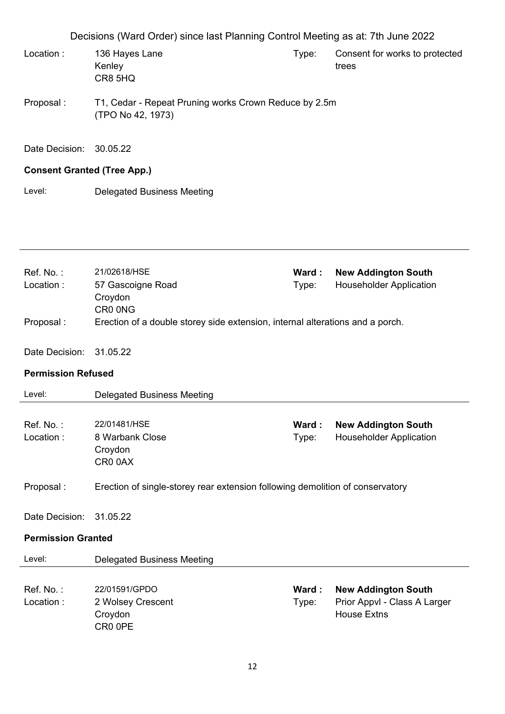Decisions (Ward Order) since last Planning Control Meeting as at: 7th June 2022 Location : 136 Hayes Lane Kenley CR8 5HQ Type: Consent for works to protected trees Proposal : T1, Cedar - Repeat Pruning works Crown Reduce by 2.5m (TPO No 42, 1973) Date Decision: 30.05.22

### **Consent Granted (Tree App.)**

Level: Delegated Business Meeting

| Ref. No.:<br>Location:<br>Proposal : | 21/02618/HSE<br>57 Gascoigne Road<br>Croydon<br>CR0 0NG<br>Erection of a double storey side extension, internal alterations and a porch. | Ward:<br>Type: | <b>New Addington South</b><br><b>Householder Application</b> |
|--------------------------------------|------------------------------------------------------------------------------------------------------------------------------------------|----------------|--------------------------------------------------------------|
|                                      |                                                                                                                                          |                |                                                              |
| Date Decision:                       | 31.05.22                                                                                                                                 |                |                                                              |
| <b>Permission Refused</b>            |                                                                                                                                          |                |                                                              |
| Level:                               | Delegated Business Meeting                                                                                                               |                |                                                              |
| Ref. No.:<br>Location:               | 22/01481/HSE<br>8 Warbank Close<br>Croydon<br>CR00AX                                                                                     | Ward:<br>Type: | <b>New Addington South</b><br><b>Householder Application</b> |
| Proposal:                            | Erection of single-storey rear extension following demolition of conservatory                                                            |                |                                                              |
| Date Decision:                       | 31.05.22                                                                                                                                 |                |                                                              |

### **Permission Granted**

| Level:     | Delegated Business Meeting |        |                              |
|------------|----------------------------|--------|------------------------------|
| Ref. No. : | 22/01591/GPDO              | Ward : | <b>New Addington South</b>   |
| Location : | 2 Wolsey Crescent          | Type:  | Prior Appvl - Class A Larger |
|            | Croydon<br>CR0 0PE         |        | House Extns                  |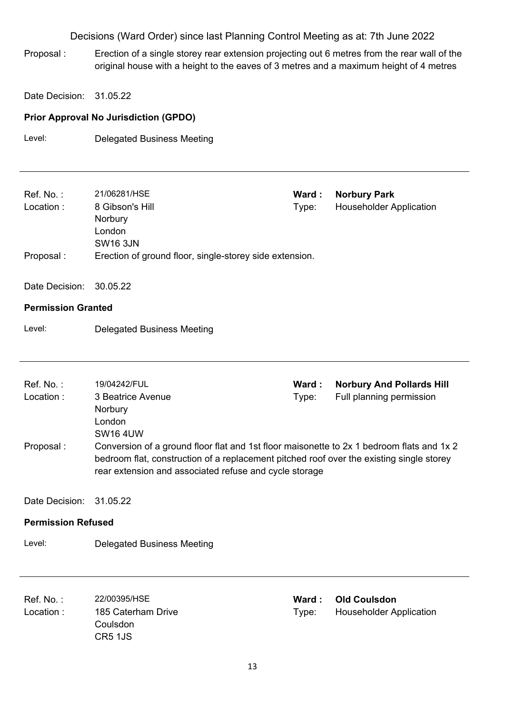Proposal : Erection of a single storey rear extension projecting out 6 metres from the rear wall of the original house with a height to the eaves of 3 metres and a maximum height of 4 metres

Date Decision: 31.05.22

### **Prior Approval No Jurisdiction (GPDO)**

Level: Delegated Business Meeting

| Ref. No.:<br>Location:    | 21/06281/HSE<br>8 Gibson's Hill<br>Norbury<br>London<br><b>SW16 3JN</b>                                                                                                                                                                         | Ward:<br>Type: | <b>Norbury Park</b><br><b>Householder Application</b>        |
|---------------------------|-------------------------------------------------------------------------------------------------------------------------------------------------------------------------------------------------------------------------------------------------|----------------|--------------------------------------------------------------|
| Proposal:                 | Erection of ground floor, single-storey side extension.                                                                                                                                                                                         |                |                                                              |
| Date Decision:            | 30.05.22                                                                                                                                                                                                                                        |                |                                                              |
| <b>Permission Granted</b> |                                                                                                                                                                                                                                                 |                |                                                              |
| Level:                    | <b>Delegated Business Meeting</b>                                                                                                                                                                                                               |                |                                                              |
|                           |                                                                                                                                                                                                                                                 |                |                                                              |
|                           |                                                                                                                                                                                                                                                 |                |                                                              |
| Ref. No.:<br>Location:    | 19/04242/FUL<br>3 Beatrice Avenue                                                                                                                                                                                                               | Ward:<br>Type: | <b>Norbury And Pollards Hill</b><br>Full planning permission |
|                           | Norbury                                                                                                                                                                                                                                         |                |                                                              |
|                           | London                                                                                                                                                                                                                                          |                |                                                              |
| Proposal:                 | <b>SW16 4UW</b>                                                                                                                                                                                                                                 |                |                                                              |
|                           | Conversion of a ground floor flat and 1st floor maisonette to 2x 1 bedroom flats and 1x 2<br>bedroom flat, construction of a replacement pitched roof over the existing single storey<br>rear extension and associated refuse and cycle storage |                |                                                              |
| Date Decision:            | 31.05.22                                                                                                                                                                                                                                        |                |                                                              |
| <b>Permission Refused</b> |                                                                                                                                                                                                                                                 |                |                                                              |
| Level:                    | <b>Delegated Business Meeting</b>                                                                                                                                                                                                               |                |                                                              |
|                           |                                                                                                                                                                                                                                                 |                |                                                              |
| Ref. No.:                 | 22/00395/HSE                                                                                                                                                                                                                                    | Ward:          | <b>Old Coulsdon</b>                                          |
| Location:                 | 185 Caterham Drive<br>Coulsdon<br>CR5 1JS                                                                                                                                                                                                       | Type:          | <b>Householder Application</b>                               |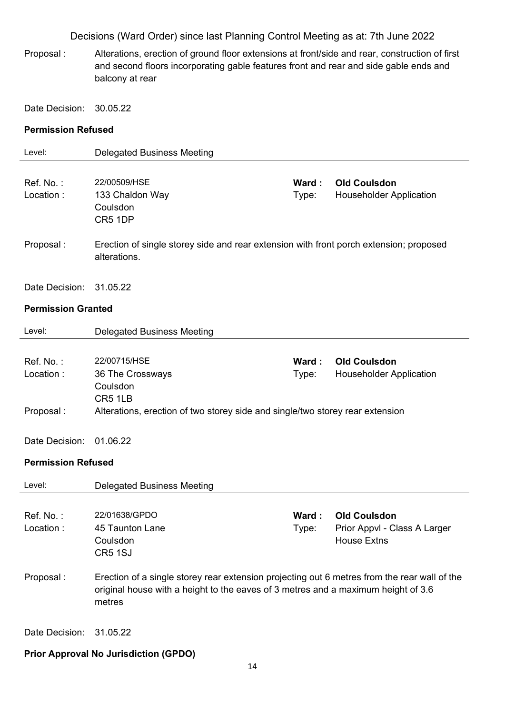Proposal : Alterations, erection of ground floor extensions at front/side and rear, construction of first and second floors incorporating gable features front and rear and side gable ends and balcony at rear

Date Decision: 30.05.22

#### **Permission Refused**

| Level:                    | <b>Delegated Business Meeting</b>                                                                      |        |                                |
|---------------------------|--------------------------------------------------------------------------------------------------------|--------|--------------------------------|
|                           |                                                                                                        |        |                                |
| Ref. No.:                 | 22/00509/HSE                                                                                           | Ward : | <b>Old Coulsdon</b>            |
| Location:                 | 133 Chaldon Way                                                                                        | Type:  | <b>Householder Application</b> |
|                           | Coulsdon                                                                                               |        |                                |
|                           | CR5 1DP                                                                                                |        |                                |
| Proposal:                 |                                                                                                        |        |                                |
|                           | Erection of single storey side and rear extension with front porch extension; proposed<br>alterations. |        |                                |
|                           |                                                                                                        |        |                                |
| Date Decision:            | 31.05.22                                                                                               |        |                                |
|                           |                                                                                                        |        |                                |
| <b>Permission Granted</b> |                                                                                                        |        |                                |
| Level:                    | <b>Delegated Business Meeting</b>                                                                      |        |                                |
|                           |                                                                                                        |        |                                |
| Ref. No.:                 | 22/00715/HSE                                                                                           | Ward:  | <b>Old Coulsdon</b>            |
| Location:                 | 36 The Crossways                                                                                       | Type:  | <b>Householder Application</b> |
|                           | Coulsdon                                                                                               |        |                                |
|                           | CR5 1LB                                                                                                |        |                                |
| Proposal:                 | Alterations, erection of two storey side and single/two storey rear extension                          |        |                                |
|                           |                                                                                                        |        |                                |
| Date Decision:            | 01.06.22                                                                                               |        |                                |
| <b>Permission Refused</b> |                                                                                                        |        |                                |
|                           |                                                                                                        |        |                                |
| Level:                    | <b>Delegated Business Meeting</b>                                                                      |        |                                |
| Ref. No.:                 | 22/01638/GPDO                                                                                          | Ward:  | <b>Old Coulsdon</b>            |
| Location:                 | 45 Taunton Lane                                                                                        | Type:  | Prior Appvl - Class A Larger   |
|                           | Coulsdon                                                                                               |        | <b>House Extns</b>             |
|                           | CR5 1SJ                                                                                                |        |                                |
|                           |                                                                                                        |        |                                |
| Proposal:                 | Erection of a single storey rear extension projecting out 6 metres from the rear wall of the           |        |                                |
|                           | original house with a height to the eaves of 3 metres and a maximum height of 3.6                      |        |                                |
|                           | metres                                                                                                 |        |                                |
|                           |                                                                                                        |        |                                |
| Date Decision:            | 31.05.22                                                                                               |        |                                |

### **Prior Approval No Jurisdiction (GPDO)**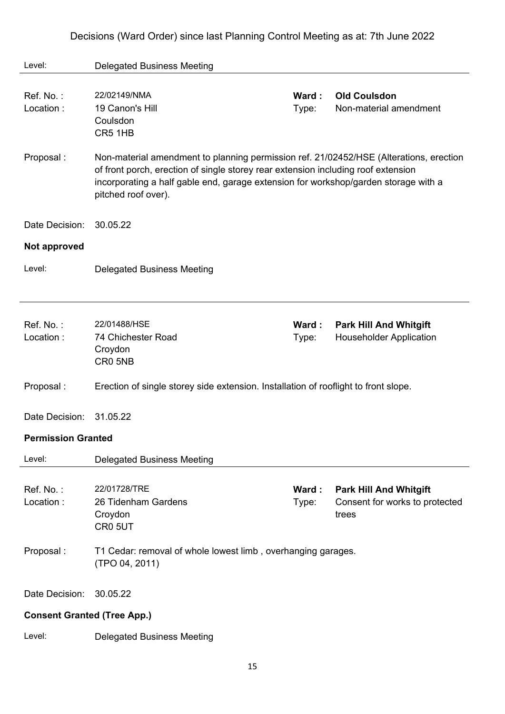| Decisions (Ward Order) since last Planning Control Meeting as at: 7th June 2022 |  |  |  |
|---------------------------------------------------------------------------------|--|--|--|
|---------------------------------------------------------------------------------|--|--|--|

| Level:                             | <b>Delegated Business Meeting</b>                                                                                                                                                                                                                                                         |                |                                                                          |
|------------------------------------|-------------------------------------------------------------------------------------------------------------------------------------------------------------------------------------------------------------------------------------------------------------------------------------------|----------------|--------------------------------------------------------------------------|
| Ref. No.:<br>Location:             | 22/02149/NMA<br>19 Canon's Hill<br>Coulsdon<br>CR5 1HB                                                                                                                                                                                                                                    | Ward:<br>Type: | <b>Old Coulsdon</b><br>Non-material amendment                            |
| Proposal:                          | Non-material amendment to planning permission ref. 21/02452/HSE (Alterations, erection<br>of front porch, erection of single storey rear extension including roof extension<br>incorporating a half gable end, garage extension for workshop/garden storage with a<br>pitched roof over). |                |                                                                          |
| Date Decision:                     | 30.05.22                                                                                                                                                                                                                                                                                  |                |                                                                          |
| Not approved                       |                                                                                                                                                                                                                                                                                           |                |                                                                          |
| Level:                             | <b>Delegated Business Meeting</b>                                                                                                                                                                                                                                                         |                |                                                                          |
|                                    |                                                                                                                                                                                                                                                                                           |                |                                                                          |
| Ref. No.:<br>Location:             | 22/01488/HSE<br>74 Chichester Road<br>Croydon<br>CR0 5NB                                                                                                                                                                                                                                  | Ward:<br>Type: | <b>Park Hill And Whitgift</b><br><b>Householder Application</b>          |
| Proposal:                          | Erection of single storey side extension. Installation of rooflight to front slope.                                                                                                                                                                                                       |                |                                                                          |
| Date Decision:                     | 31.05.22                                                                                                                                                                                                                                                                                  |                |                                                                          |
| <b>Permission Granted</b>          |                                                                                                                                                                                                                                                                                           |                |                                                                          |
| Level:                             | <b>Delegated Business Meeting</b>                                                                                                                                                                                                                                                         |                |                                                                          |
| Ref. No.:<br>Location:             | 22/01728/TRE<br>26 Tidenham Gardens<br>Croydon<br>CR0 5UT                                                                                                                                                                                                                                 | Ward:<br>Type: | <b>Park Hill And Whitgift</b><br>Consent for works to protected<br>trees |
| Proposal:                          | T1 Cedar: removal of whole lowest limb, overhanging garages.<br>(TPO 04, 2011)                                                                                                                                                                                                            |                |                                                                          |
| Date Decision:                     | 30.05.22                                                                                                                                                                                                                                                                                  |                |                                                                          |
| <b>Consent Granted (Tree App.)</b> |                                                                                                                                                                                                                                                                                           |                |                                                                          |
| Level:                             | <b>Delegated Business Meeting</b>                                                                                                                                                                                                                                                         |                |                                                                          |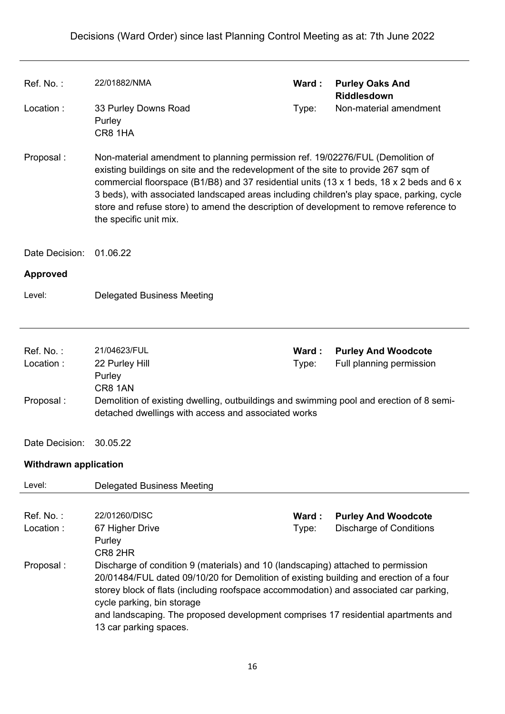| Ref. No.:                           | 22/01882/NMA                                                                                                                                                                                                                                                                                                                                                                                                     | Ward:                                                                                                                                                                                                                                                                                                                                                                                                                                                   | <b>Purley Oaks And</b><br>Riddlesdown                        |  |
|-------------------------------------|------------------------------------------------------------------------------------------------------------------------------------------------------------------------------------------------------------------------------------------------------------------------------------------------------------------------------------------------------------------------------------------------------------------|---------------------------------------------------------------------------------------------------------------------------------------------------------------------------------------------------------------------------------------------------------------------------------------------------------------------------------------------------------------------------------------------------------------------------------------------------------|--------------------------------------------------------------|--|
| Location:                           | 33 Purley Downs Road<br>Purley<br>CR8 1HA                                                                                                                                                                                                                                                                                                                                                                        | Type:                                                                                                                                                                                                                                                                                                                                                                                                                                                   | Non-material amendment                                       |  |
| Proposal:                           | the specific unit mix.                                                                                                                                                                                                                                                                                                                                                                                           | Non-material amendment to planning permission ref. 19/02276/FUL (Demolition of<br>existing buildings on site and the redevelopment of the site to provide 267 sqm of<br>commercial floorspace (B1/B8) and 37 residential units (13 x 1 beds, 18 x 2 beds and 6 x<br>3 beds), with associated landscaped areas including children's play space, parking, cycle<br>store and refuse store) to amend the description of development to remove reference to |                                                              |  |
| Date Decision:                      | 01.06.22                                                                                                                                                                                                                                                                                                                                                                                                         |                                                                                                                                                                                                                                                                                                                                                                                                                                                         |                                                              |  |
| <b>Approved</b>                     |                                                                                                                                                                                                                                                                                                                                                                                                                  |                                                                                                                                                                                                                                                                                                                                                                                                                                                         |                                                              |  |
| Level:                              | <b>Delegated Business Meeting</b>                                                                                                                                                                                                                                                                                                                                                                                |                                                                                                                                                                                                                                                                                                                                                                                                                                                         |                                                              |  |
|                                     |                                                                                                                                                                                                                                                                                                                                                                                                                  |                                                                                                                                                                                                                                                                                                                                                                                                                                                         |                                                              |  |
| Ref. No.:<br>Location:<br>Proposal: | 21/04623/FUL<br>22 Purley Hill<br>Purley<br>CR8 1AN<br>Demolition of existing dwelling, outbuildings and swimming pool and erection of 8 semi-                                                                                                                                                                                                                                                                   | Ward:<br>Type:                                                                                                                                                                                                                                                                                                                                                                                                                                          | <b>Purley And Woodcote</b><br>Full planning permission       |  |
|                                     | detached dwellings with access and associated works                                                                                                                                                                                                                                                                                                                                                              |                                                                                                                                                                                                                                                                                                                                                                                                                                                         |                                                              |  |
| Date Decision:                      | 30.05.22                                                                                                                                                                                                                                                                                                                                                                                                         |                                                                                                                                                                                                                                                                                                                                                                                                                                                         |                                                              |  |
| <b>Withdrawn application</b>        |                                                                                                                                                                                                                                                                                                                                                                                                                  |                                                                                                                                                                                                                                                                                                                                                                                                                                                         |                                                              |  |
| Level:                              | <b>Delegated Business Meeting</b>                                                                                                                                                                                                                                                                                                                                                                                |                                                                                                                                                                                                                                                                                                                                                                                                                                                         |                                                              |  |
| Ref. No.:                           | 22/01260/DISC                                                                                                                                                                                                                                                                                                                                                                                                    |                                                                                                                                                                                                                                                                                                                                                                                                                                                         |                                                              |  |
| Location:                           | 67 Higher Drive<br>Purley<br>CR8 2HR                                                                                                                                                                                                                                                                                                                                                                             | Ward:<br>Type:                                                                                                                                                                                                                                                                                                                                                                                                                                          | <b>Purley And Woodcote</b><br><b>Discharge of Conditions</b> |  |
| Proposal:                           | Discharge of condition 9 (materials) and 10 (landscaping) attached to permission<br>20/01484/FUL dated 09/10/20 for Demolition of existing building and erection of a four<br>storey block of flats (including roofspace accommodation) and associated car parking,<br>cycle parking, bin storage<br>and landscaping. The proposed development comprises 17 residential apartments and<br>13 car parking spaces. |                                                                                                                                                                                                                                                                                                                                                                                                                                                         |                                                              |  |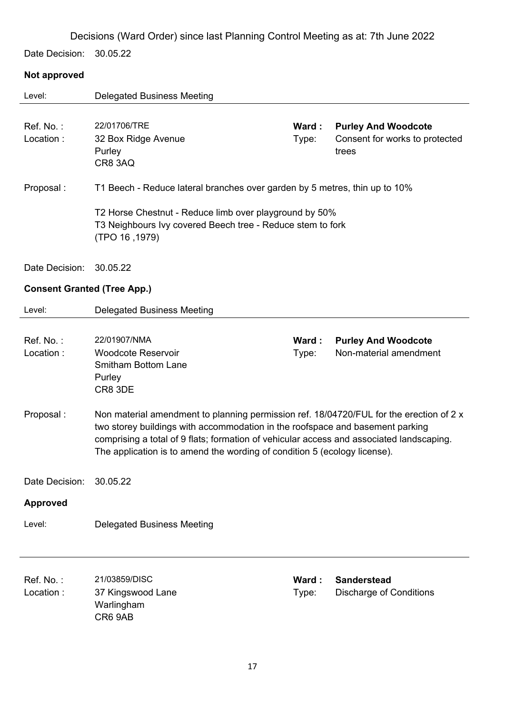Date Decision: 30.05.22

### **Not approved**

| Level:                             | <b>Delegated Business Meeting</b>                                                                                                                                                                                                                                                                                                                 |                |                                                                       |
|------------------------------------|---------------------------------------------------------------------------------------------------------------------------------------------------------------------------------------------------------------------------------------------------------------------------------------------------------------------------------------------------|----------------|-----------------------------------------------------------------------|
| Ref. No.:<br>Location:             | 22/01706/TRE<br>32 Box Ridge Avenue<br>Purley<br>CR8 3AQ                                                                                                                                                                                                                                                                                          | Ward:<br>Type: | <b>Purley And Woodcote</b><br>Consent for works to protected<br>trees |
| Proposal:                          | T1 Beech - Reduce lateral branches over garden by 5 metres, thin up to 10%                                                                                                                                                                                                                                                                        |                |                                                                       |
|                                    | T2 Horse Chestnut - Reduce limb over playground by 50%<br>T3 Neighbours Ivy covered Beech tree - Reduce stem to fork<br>(TPO 16, 1979)                                                                                                                                                                                                            |                |                                                                       |
| Date Decision:                     | 30.05.22                                                                                                                                                                                                                                                                                                                                          |                |                                                                       |
| <b>Consent Granted (Tree App.)</b> |                                                                                                                                                                                                                                                                                                                                                   |                |                                                                       |
| Level:                             | <b>Delegated Business Meeting</b>                                                                                                                                                                                                                                                                                                                 |                |                                                                       |
| Ref. No.:<br>Location:             | 22/01907/NMA<br><b>Woodcote Reservoir</b><br><b>Smitham Bottom Lane</b><br>Purley<br>CR8 3DE                                                                                                                                                                                                                                                      | Ward:<br>Type: | <b>Purley And Woodcote</b><br>Non-material amendment                  |
| Proposal:                          | Non material amendment to planning permission ref. 18/04720/FUL for the erection of 2 x<br>two storey buildings with accommodation in the roofspace and basement parking<br>comprising a total of 9 flats; formation of vehicular access and associated landscaping.<br>The application is to amend the wording of condition 5 (ecology license). |                |                                                                       |
| Date Decision:                     | 30.05.22                                                                                                                                                                                                                                                                                                                                          |                |                                                                       |
| <b>Approved</b>                    |                                                                                                                                                                                                                                                                                                                                                   |                |                                                                       |
| Level:                             | <b>Delegated Business Meeting</b>                                                                                                                                                                                                                                                                                                                 |                |                                                                       |
| Ref. No.:<br>Location:             | 21/03859/DISC<br>37 Kingswood Lane<br>Warlingham<br>CR6 9AB                                                                                                                                                                                                                                                                                       | Ward:<br>Type: | <b>Sanderstead</b><br><b>Discharge of Conditions</b>                  |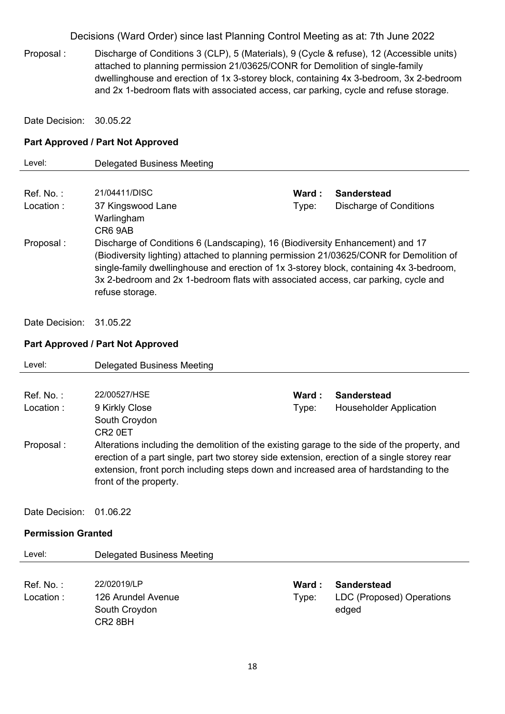Proposal : Discharge of Conditions 3 (CLP), 5 (Materials), 9 (Cycle & refuse), 12 (Accessible units) attached to planning permission 21/03625/CONR for Demolition of single-family dwellinghouse and erection of 1x 3-storey block, containing 4x 3-bedroom, 3x 2-bedroom and 2x 1-bedroom flats with associated access, car parking, cycle and refuse storage.

Date Decision: 30.05.22

#### **Part Approved / Part Not Approved**

| Level:       | Delegated Business Meeting                                                                                                                                                                                                                                                                                                                                                   |        |                         |
|--------------|------------------------------------------------------------------------------------------------------------------------------------------------------------------------------------------------------------------------------------------------------------------------------------------------------------------------------------------------------------------------------|--------|-------------------------|
|              |                                                                                                                                                                                                                                                                                                                                                                              |        |                         |
| $Ref$ . No.: | 21/04411/DISC                                                                                                                                                                                                                                                                                                                                                                | Ward : | <b>Sanderstead</b>      |
| Location:    | 37 Kingswood Lane<br>Warlingham<br>CR6 9AB                                                                                                                                                                                                                                                                                                                                   | Type:  | Discharge of Conditions |
| Proposal :   | Discharge of Conditions 6 (Landscaping), 16 (Biodiversity Enhancement) and 17<br>(Biodiversity lighting) attached to planning permission 21/03625/CONR for Demolition of<br>single-family dwellinghouse and erection of 1x 3-storey block, containing 4x 3-bedroom,<br>3x 2-bedroom and 2x 1-bedroom flats with associated access, car parking, cycle and<br>refuse storage. |        |                         |

Date Decision: 31.05.22

#### **Part Approved / Part Not Approved**

South Croydon CR2 8BH

| Level:                    | <b>Delegated Business Meeting</b>                                                                                                                                                                                                                                                                              |        |                                |  |
|---------------------------|----------------------------------------------------------------------------------------------------------------------------------------------------------------------------------------------------------------------------------------------------------------------------------------------------------------|--------|--------------------------------|--|
|                           |                                                                                                                                                                                                                                                                                                                |        |                                |  |
| $Ref. No.$ :              | 22/00527/HSE                                                                                                                                                                                                                                                                                                   | Ward : | <b>Sanderstead</b>             |  |
| Location:                 | 9 Kirkly Close                                                                                                                                                                                                                                                                                                 | Type:  | <b>Householder Application</b> |  |
|                           | South Croydon                                                                                                                                                                                                                                                                                                  |        |                                |  |
|                           | CR <sub>2</sub> 0ET                                                                                                                                                                                                                                                                                            |        |                                |  |
| Proposal:                 | Alterations including the demolition of the existing garage to the side of the property, and<br>erection of a part single, part two storey side extension, erection of a single storey rear<br>extension, front porch including steps down and increased area of hardstanding to the<br>front of the property. |        |                                |  |
| Date Decision:            | 01.06.22                                                                                                                                                                                                                                                                                                       |        |                                |  |
| <b>Permission Granted</b> |                                                                                                                                                                                                                                                                                                                |        |                                |  |
| Level:                    | <b>Delegated Business Meeting</b>                                                                                                                                                                                                                                                                              |        |                                |  |
|                           |                                                                                                                                                                                                                                                                                                                |        |                                |  |
| $Ref. No.$ :              | 22/02019/LP                                                                                                                                                                                                                                                                                                    | Ward : | <b>Sanderstead</b>             |  |
| Location:                 | 126 Arundel Avenue                                                                                                                                                                                                                                                                                             | Type:  | LDC (Proposed) Operations      |  |

edged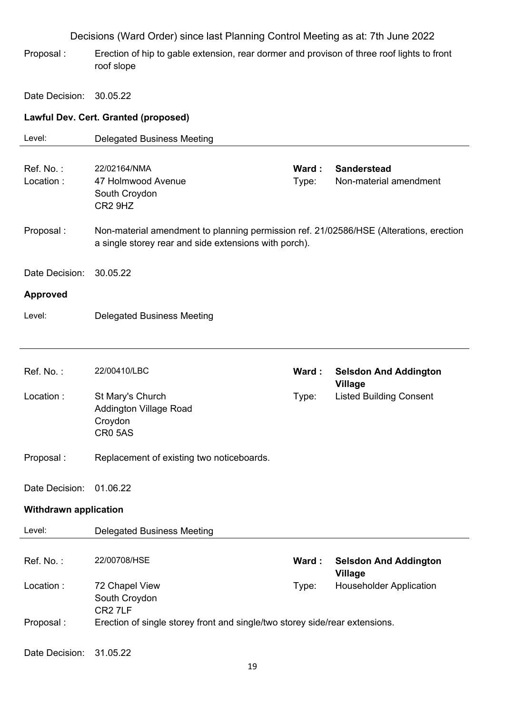Proposal : Erection of hip to gable extension, rear dormer and provison of three roof lights to front roof slope

Date Decision: 30.05.22

### **Lawful Dev. Cert. Granted (proposed)**

| Level:                       | <b>Delegated Business Meeting</b>                                                                  |       |                                |
|------------------------------|----------------------------------------------------------------------------------------------------|-------|--------------------------------|
|                              |                                                                                                    |       |                                |
| Ref. No.:                    | 22/02164/NMA                                                                                       | Ward: | <b>Sanderstead</b>             |
| Location:                    | 47 Holmwood Avenue                                                                                 | Type: | Non-material amendment         |
|                              | South Croydon                                                                                      |       |                                |
|                              | CR <sub>2</sub> 9H <sub>Z</sub>                                                                    |       |                                |
| Proposal:                    | Non-material amendment to planning permission ref. 21/02586/HSE (Alterations, erection             |       |                                |
|                              | a single storey rear and side extensions with porch).                                              |       |                                |
| Date Decision:               | 30.05.22                                                                                           |       |                                |
| <b>Approved</b>              |                                                                                                    |       |                                |
| Level:                       | <b>Delegated Business Meeting</b>                                                                  |       |                                |
|                              |                                                                                                    |       |                                |
|                              |                                                                                                    |       |                                |
| Ref. No.:                    | 22/00410/LBC                                                                                       | Ward: | <b>Selsdon And Addington</b>   |
|                              |                                                                                                    |       | <b>Village</b>                 |
| Location:                    | St Mary's Church                                                                                   | Type: | <b>Listed Building Consent</b> |
|                              | <b>Addington Village Road</b>                                                                      |       |                                |
|                              | Croydon                                                                                            |       |                                |
|                              | CR05AS                                                                                             |       |                                |
| Proposal:                    | Replacement of existing two noticeboards.                                                          |       |                                |
|                              |                                                                                                    |       |                                |
| Date Decision:               | 01.06.22                                                                                           |       |                                |
| <b>Withdrawn application</b> |                                                                                                    |       |                                |
| Level:                       | <b>Delegated Business Meeting</b>                                                                  |       |                                |
|                              |                                                                                                    |       |                                |
| Ref. No.:                    | 22/00708/HSE                                                                                       | Ward: | <b>Selsdon And Addington</b>   |
|                              |                                                                                                    |       | <b>Village</b>                 |
| Location:                    | 72 Chapel View                                                                                     | Type: | <b>Householder Application</b> |
|                              | South Croydon                                                                                      |       |                                |
| Proposal:                    | CR <sub>2</sub> 7LF<br>Erection of single storey front and single/two storey side/rear extensions. |       |                                |
|                              |                                                                                                    |       |                                |
| Date Decision:               | 31.05.22                                                                                           |       |                                |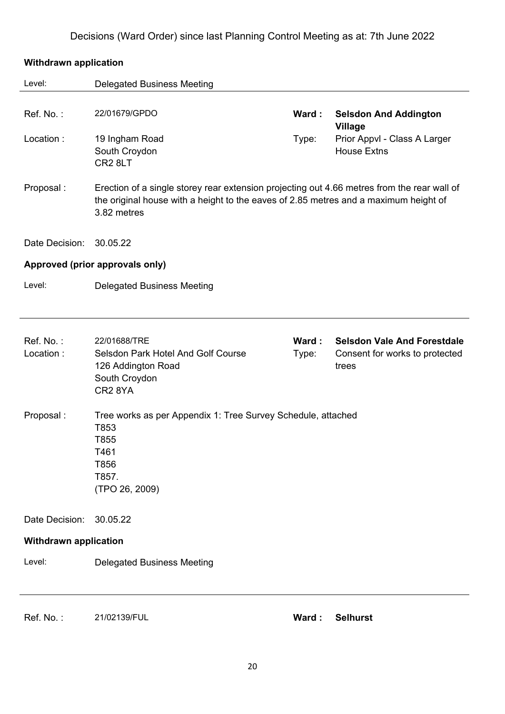## **Withdrawn application**  Level: Delegated Business Meeting Ref. No. : 22/01679/GPDO **Ward : Selsdon And Addington Village** Location : 19 Ingham Road South Croydon CR2 8LT Type: Prior Appvl - Class A Larger House Extns Proposal : Erection of a single storey rear extension projecting out 4.66 metres from the rear wall of the original house with a height to the eaves of 2.85 metres and a maximum height of 3.82 metres Date Decision: 30.05.22 **Approved (prior approvals only)**  Level: Delegated Business Meeting Ref. No. : 22/01688/TRE **Ward : Selsdon Vale And Forestdale** Location : Selsdon Park Hotel And Golf Course 126 Addington Road South Croydon CR2 8YA Type: Consent for works to protected trees Proposal : Tree works as per Appendix 1: Tree Survey Schedule, attached T853 T855 T461 T856 T857. (TPO 26, 2009) Date Decision: 30.05.22 **Withdrawn application**  Level: Delegated Business Meeting

Ref. No. : 21/02139/FUL **Ward : Selhurst**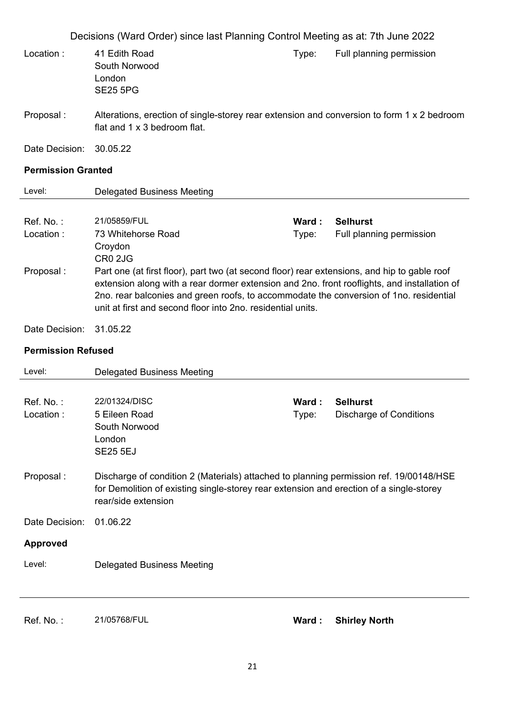| Location:                 |                                                                                                                                                                                                                                                                                                                                                      |                | Decisions (Ward Order) since last Planning Control Meeting as at: 7th June 2022 |
|---------------------------|------------------------------------------------------------------------------------------------------------------------------------------------------------------------------------------------------------------------------------------------------------------------------------------------------------------------------------------------------|----------------|---------------------------------------------------------------------------------|
|                           | 41 Edith Road<br>South Norwood<br>London<br><b>SE25 5PG</b>                                                                                                                                                                                                                                                                                          | Type:          | Full planning permission                                                        |
| Proposal:                 | Alterations, erection of single-storey rear extension and conversion to form 1 x 2 bedroom<br>flat and 1 x 3 bedroom flat.                                                                                                                                                                                                                           |                |                                                                                 |
| Date Decision:            | 30.05.22                                                                                                                                                                                                                                                                                                                                             |                |                                                                                 |
| <b>Permission Granted</b> |                                                                                                                                                                                                                                                                                                                                                      |                |                                                                                 |
| Level:                    | <b>Delegated Business Meeting</b>                                                                                                                                                                                                                                                                                                                    |                |                                                                                 |
| Ref. No.:<br>Location:    | 21/05859/FUL<br>73 Whitehorse Road<br>Croydon<br>CR0 2JG                                                                                                                                                                                                                                                                                             | Ward:<br>Type: | <b>Selhurst</b><br>Full planning permission                                     |
| Proposal:                 | Part one (at first floor), part two (at second floor) rear extensions, and hip to gable roof<br>extension along with a rear dormer extension and 2no. front rooflights, and installation of<br>2no. rear balconies and green roofs, to accommodate the conversion of 1no. residential<br>unit at first and second floor into 2no. residential units. |                |                                                                                 |
| Date Decision:            | 31.05.22                                                                                                                                                                                                                                                                                                                                             |                |                                                                                 |
| <b>Permission Refused</b> |                                                                                                                                                                                                                                                                                                                                                      |                |                                                                                 |
|                           |                                                                                                                                                                                                                                                                                                                                                      |                |                                                                                 |
| Level:                    | <b>Delegated Business Meeting</b>                                                                                                                                                                                                                                                                                                                    |                |                                                                                 |
| Ref. No.:<br>Location:    | 22/01324/DISC<br>5 Eileen Road<br>South Norwood<br>London<br><b>SE25 5EJ</b>                                                                                                                                                                                                                                                                         | Ward:<br>Type: | <b>Selhurst</b><br><b>Discharge of Conditions</b>                               |
| Proposal:                 | Discharge of condition 2 (Materials) attached to planning permission ref. 19/00148/HSE<br>for Demolition of existing single-storey rear extension and erection of a single-storey<br>rear/side extension                                                                                                                                             |                |                                                                                 |
| Date Decision:            | 01.06.22                                                                                                                                                                                                                                                                                                                                             |                |                                                                                 |
| <b>Approved</b>           |                                                                                                                                                                                                                                                                                                                                                      |                |                                                                                 |

Ref. No. : 21/05768/FUL **Ward : Shirley North**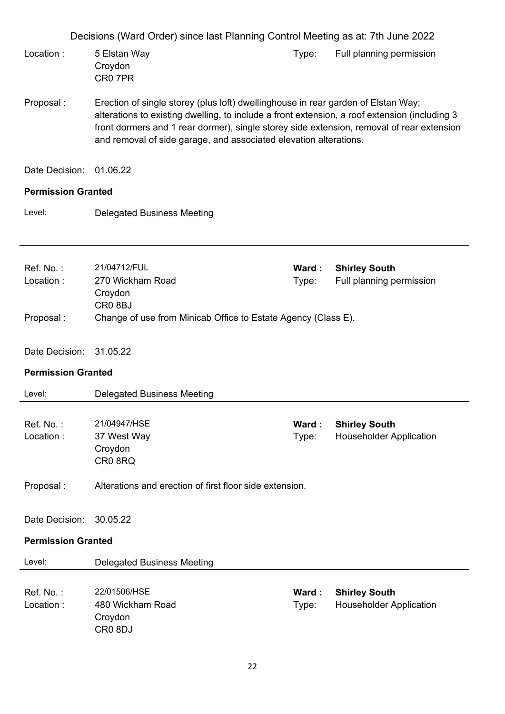|                           | Decisions (Ward Order) since last Planning Control Meeting as at: 7th June 2022                                                                                                                                                                                                                                                                      |                 |                                                        |
|---------------------------|------------------------------------------------------------------------------------------------------------------------------------------------------------------------------------------------------------------------------------------------------------------------------------------------------------------------------------------------------|-----------------|--------------------------------------------------------|
| Location:                 | 5 Elstan Way<br>Croydon<br>CR07PR                                                                                                                                                                                                                                                                                                                    | Type:           | Full planning permission                               |
| Proposal:                 | Erection of single storey (plus loft) dwellinghouse in rear garden of Elstan Way;<br>alterations to existing dwelling, to include a front extension, a roof extension (including 3<br>front dormers and 1 rear dormer), single storey side extension, removal of rear extension<br>and removal of side garage, and associated elevation alterations. |                 |                                                        |
| Date Decision:            | 01.06.22                                                                                                                                                                                                                                                                                                                                             |                 |                                                        |
| <b>Permission Granted</b> |                                                                                                                                                                                                                                                                                                                                                      |                 |                                                        |
| Level:                    | <b>Delegated Business Meeting</b>                                                                                                                                                                                                                                                                                                                    |                 |                                                        |
| Ref. No.:<br>Location:    | 21/04712/FUL<br>270 Wickham Road<br>Croydon<br>CR <sub>0</sub> 8BJ                                                                                                                                                                                                                                                                                   | Ward:<br>Type:  | <b>Shirley South</b><br>Full planning permission       |
| Proposal:                 | Change of use from Minicab Office to Estate Agency (Class E).                                                                                                                                                                                                                                                                                        |                 |                                                        |
| Date Decision: 31.05.22   |                                                                                                                                                                                                                                                                                                                                                      |                 |                                                        |
| <b>Permission Granted</b> |                                                                                                                                                                                                                                                                                                                                                      |                 |                                                        |
| Level:                    | <b>Delegated Business Meeting</b>                                                                                                                                                                                                                                                                                                                    |                 |                                                        |
| Ref. No.:<br>Location:    | 21/04947/HSE<br>37 West Way<br>Croydon<br>CR08RQ                                                                                                                                                                                                                                                                                                     | Ward :<br>Type: | <b>Shirley South</b><br><b>Householder Application</b> |
| Proposal:                 | Alterations and erection of first floor side extension.                                                                                                                                                                                                                                                                                              |                 |                                                        |
| Date Decision:            | 30.05.22                                                                                                                                                                                                                                                                                                                                             |                 |                                                        |
| <b>Permission Granted</b> |                                                                                                                                                                                                                                                                                                                                                      |                 |                                                        |
| Level:                    | <b>Delegated Business Meeting</b>                                                                                                                                                                                                                                                                                                                    |                 |                                                        |
| Ref. No.:<br>Location:    | 22/01506/HSE<br>480 Wickham Road<br>Croydon<br>CR <sub>0</sub> 8DJ                                                                                                                                                                                                                                                                                   | Ward:<br>Type:  | <b>Shirley South</b><br><b>Householder Application</b> |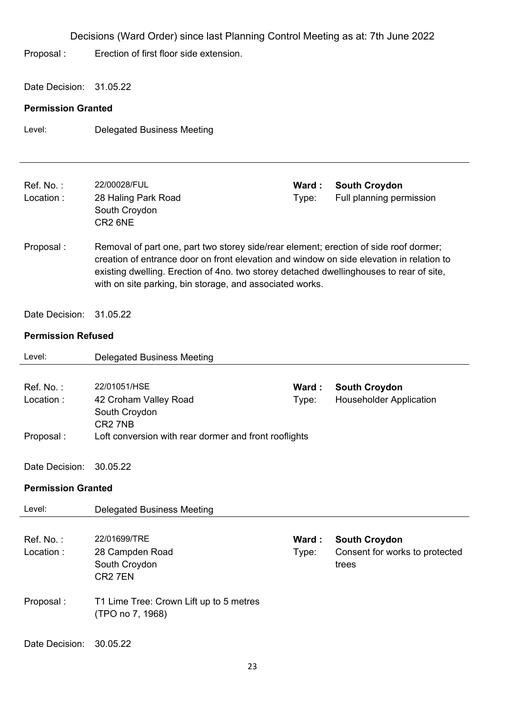Decisions (Ward Order) since last Planning Control Meeting as at: 7th June 2022 Proposal : Erection of first floor side extension. Date Decision: 31.05.22 **Permission Granted**  Level: Delegated Business Meeting Ref. No. : 22/00028/FUL **Ward : South Croydon** Location : 28 Haling Park Road South Croydon CR2 6NE Type: Full planning permission Proposal : Removal of part one, part two storey side/rear element; erection of side roof dormer; creation of entrance door on front elevation and window on side elevation in relation to existing dwelling. Erection of 4no. two storey detached dwellinghouses to rear of site, with on site parking, bin storage, and associated works. Date Decision: 31.05.22 **Permission Refused**  Level: Delegated Business Meeting Ref. No. : 22/01051/HSE **Ward : South Croydon** Location : 42 Croham Valley Road South Croydon CR2 7NB Type: Householder Application Proposal : Loft conversion with rear dormer and front rooflights Date Decision: 30.05.22 **Permission Granted**  Level: Delegated Business Meeting Ref. No. : 22/01699/TRE **Ward : South Croydon** Location : 28 Campden Road South Croydon CR2 7EN Type: Consent for works to protected trees Proposal : T1 Lime Tree: Crown Lift up to 5 metres (TPO no 7, 1968)

#### Date Decision: 30.05.22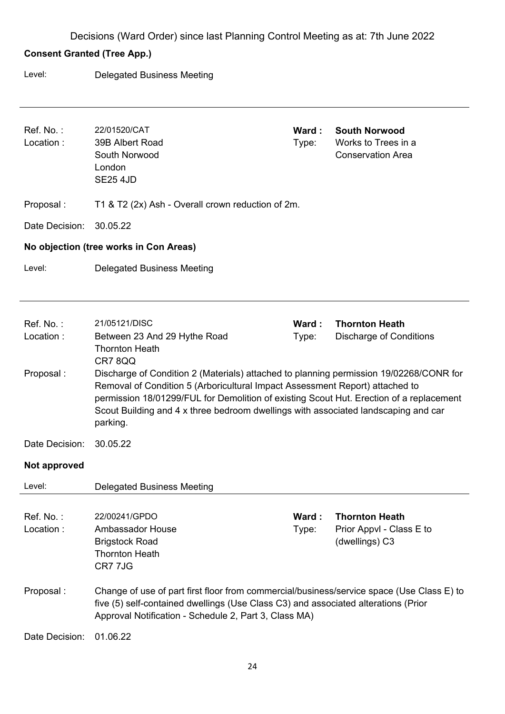### **Consent Granted (Tree App.)**

Level: Delegated Business Meeting

| Ref. No.:<br>Location: | 22/01520/CAT<br>39B Albert Road<br>South Norwood<br>London<br><b>SE25 4JD</b>                                                                                                                                                                                                                                                                                       | Ward:<br>Type: | <b>South Norwood</b><br>Works to Trees in a<br><b>Conservation Area</b> |  |  |  |
|------------------------|---------------------------------------------------------------------------------------------------------------------------------------------------------------------------------------------------------------------------------------------------------------------------------------------------------------------------------------------------------------------|----------------|-------------------------------------------------------------------------|--|--|--|
| Proposal:              | T1 & T2 (2x) Ash - Overall crown reduction of 2m.                                                                                                                                                                                                                                                                                                                   |                |                                                                         |  |  |  |
| Date Decision:         | 30.05.22                                                                                                                                                                                                                                                                                                                                                            |                |                                                                         |  |  |  |
|                        | No objection (tree works in Con Areas)                                                                                                                                                                                                                                                                                                                              |                |                                                                         |  |  |  |
| Level:                 | <b>Delegated Business Meeting</b>                                                                                                                                                                                                                                                                                                                                   |                |                                                                         |  |  |  |
|                        |                                                                                                                                                                                                                                                                                                                                                                     |                |                                                                         |  |  |  |
| Ref. No.:              | 21/05121/DISC                                                                                                                                                                                                                                                                                                                                                       | Ward:          | <b>Thornton Heath</b>                                                   |  |  |  |
| Location:              | Between 23 And 29 Hythe Road<br><b>Thornton Heath</b><br>CR78QQ                                                                                                                                                                                                                                                                                                     | Type:          | <b>Discharge of Conditions</b>                                          |  |  |  |
| Proposal:              | Discharge of Condition 2 (Materials) attached to planning permission 19/02268/CONR for<br>Removal of Condition 5 (Arboricultural Impact Assessment Report) attached to<br>permission 18/01299/FUL for Demolition of existing Scout Hut. Erection of a replacement<br>Scout Building and 4 x three bedroom dwellings with associated landscaping and car<br>parking. |                |                                                                         |  |  |  |
| Date Decision:         | 30.05.22                                                                                                                                                                                                                                                                                                                                                            |                |                                                                         |  |  |  |
| Not approved           |                                                                                                                                                                                                                                                                                                                                                                     |                |                                                                         |  |  |  |
| Level:                 | <b>Delegated Business Meeting</b>                                                                                                                                                                                                                                                                                                                                   |                |                                                                         |  |  |  |
| Ref. No.:<br>Location: | 22/00241/GPDO<br><b>Ambassador House</b><br><b>Brigstock Road</b><br><b>Thornton Heath</b><br>CR7 7JG                                                                                                                                                                                                                                                               | Ward:<br>Type: | <b>Thornton Heath</b><br>Prior Appvl - Class E to<br>(dwellings) C3     |  |  |  |
| Proposal:              | Change of use of part first floor from commercial/business/service space (Use Class E) to<br>five (5) self-contained dwellings (Use Class C3) and associated alterations (Prior<br>Approval Notification - Schedule 2, Part 3, Class MA)                                                                                                                            |                |                                                                         |  |  |  |
| Date Decision:         | 01.06.22                                                                                                                                                                                                                                                                                                                                                            |                |                                                                         |  |  |  |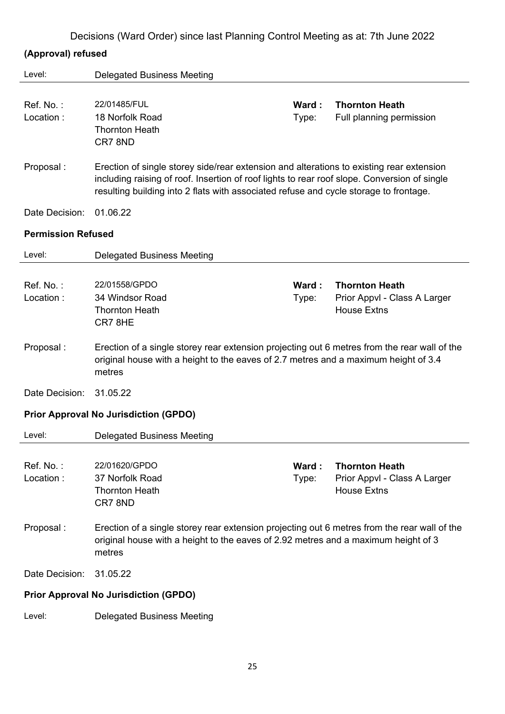|  |  | Decisions (Ward Order) since last Planning Control Meeting as at: 7th June 2022 |
|--|--|---------------------------------------------------------------------------------|
|  |  |                                                                                 |

### **(Approval) refused**

| Level:                    | <b>Delegated Business Meeting</b>                                                                                                                                                                                                                                                 |                |                                                                             |  |  |
|---------------------------|-----------------------------------------------------------------------------------------------------------------------------------------------------------------------------------------------------------------------------------------------------------------------------------|----------------|-----------------------------------------------------------------------------|--|--|
| Ref. No.:<br>Location:    | 22/01485/FUL<br>18 Norfolk Road<br><b>Thornton Heath</b><br>CR7 8ND                                                                                                                                                                                                               | Ward:<br>Type: | <b>Thornton Heath</b><br>Full planning permission                           |  |  |
| Proposal:                 | Erection of single storey side/rear extension and alterations to existing rear extension<br>including raising of roof. Insertion of roof lights to rear roof slope. Conversion of single<br>resulting building into 2 flats with associated refuse and cycle storage to frontage. |                |                                                                             |  |  |
| Date Decision:            | 01.06.22                                                                                                                                                                                                                                                                          |                |                                                                             |  |  |
| <b>Permission Refused</b> |                                                                                                                                                                                                                                                                                   |                |                                                                             |  |  |
| Level:                    | <b>Delegated Business Meeting</b>                                                                                                                                                                                                                                                 |                |                                                                             |  |  |
| Ref. No.:<br>Location:    | 22/01558/GPDO<br>34 Windsor Road<br><b>Thornton Heath</b><br>CR78HE                                                                                                                                                                                                               | Ward:<br>Type: | <b>Thornton Heath</b><br>Prior Appvl - Class A Larger<br><b>House Extns</b> |  |  |
| Proposal:                 | Erection of a single storey rear extension projecting out 6 metres from the rear wall of the<br>original house with a height to the eaves of 2.7 metres and a maximum height of 3.4<br>metres                                                                                     |                |                                                                             |  |  |
| Date Decision:            | 31.05.22                                                                                                                                                                                                                                                                          |                |                                                                             |  |  |
|                           | <b>Prior Approval No Jurisdiction (GPDO)</b>                                                                                                                                                                                                                                      |                |                                                                             |  |  |
| Level:                    | <b>Delegated Business Meeting</b>                                                                                                                                                                                                                                                 |                |                                                                             |  |  |
| Ref. No.:<br>Location:    | 22/01620/GPDO<br>37 Norfolk Road<br><b>Thornton Heath</b><br>CR7 8ND                                                                                                                                                                                                              | Ward:<br>Type: | <b>Thornton Heath</b><br>Prior Appvl - Class A Larger<br><b>House Extns</b> |  |  |
| Proposal:                 | Erection of a single storey rear extension projecting out 6 metres from the rear wall of the<br>original house with a height to the eaves of 2.92 metres and a maximum height of 3<br>metres                                                                                      |                |                                                                             |  |  |
| Date Decision:            | 31.05.22                                                                                                                                                                                                                                                                          |                |                                                                             |  |  |
|                           | <b>Prior Approval No Jurisdiction (GPDO)</b>                                                                                                                                                                                                                                      |                |                                                                             |  |  |
| Level:                    | <b>Delegated Business Meeting</b>                                                                                                                                                                                                                                                 |                |                                                                             |  |  |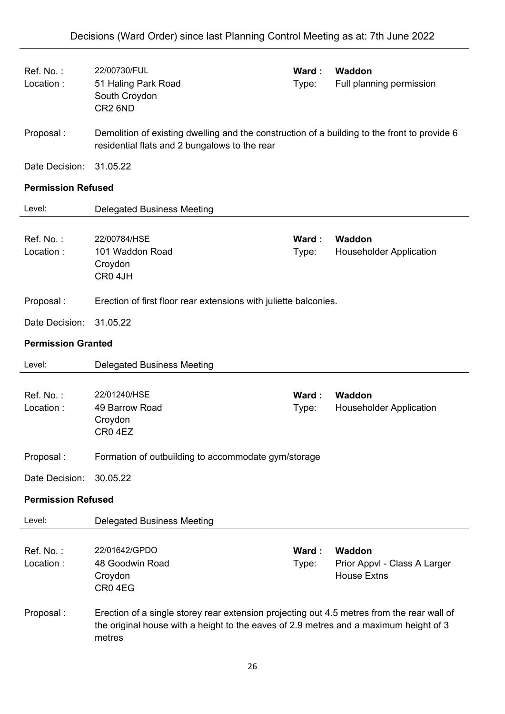| Ref. No.:<br>Location:    | 22/00730/FUL<br>51 Haling Park Road<br>South Croydon<br>CR <sub>2</sub> 6ND                                                                   | Ward:<br>Type: | Waddon<br>Full planning permission                           |  |  |
|---------------------------|-----------------------------------------------------------------------------------------------------------------------------------------------|----------------|--------------------------------------------------------------|--|--|
| Proposal:                 | Demolition of existing dwelling and the construction of a building to the front to provide 6<br>residential flats and 2 bungalows to the rear |                |                                                              |  |  |
| Date Decision:            | 31.05.22                                                                                                                                      |                |                                                              |  |  |
| <b>Permission Refused</b> |                                                                                                                                               |                |                                                              |  |  |
| Level:                    | <b>Delegated Business Meeting</b>                                                                                                             |                |                                                              |  |  |
| Ref. No.:<br>Location:    | 22/00784/HSE<br>101 Waddon Road<br>Croydon<br>CR0 4JH                                                                                         | Ward:<br>Type: | Waddon<br><b>Householder Application</b>                     |  |  |
| Proposal:                 | Erection of first floor rear extensions with juliette balconies.                                                                              |                |                                                              |  |  |
| Date Decision:            | 31.05.22                                                                                                                                      |                |                                                              |  |  |
| <b>Permission Granted</b> |                                                                                                                                               |                |                                                              |  |  |
|                           |                                                                                                                                               |                |                                                              |  |  |
| Level:                    | <b>Delegated Business Meeting</b>                                                                                                             |                |                                                              |  |  |
| Ref. No.:<br>Location:    | 22/01240/HSE<br>49 Barrow Road<br>Croydon<br>CR04EZ                                                                                           | Ward:<br>Type: | Waddon<br><b>Householder Application</b>                     |  |  |
| Proposal:                 | Formation of outbuilding to accommodate gym/storage                                                                                           |                |                                                              |  |  |
| Date Decision:            | 30.05.22                                                                                                                                      |                |                                                              |  |  |
| <b>Permission Refused</b> |                                                                                                                                               |                |                                                              |  |  |
| Level:                    | <b>Delegated Business Meeting</b>                                                                                                             |                |                                                              |  |  |
| Ref. No.:<br>Location:    | 22/01642/GPDO<br>48 Goodwin Road<br>Croydon<br>CR04EG                                                                                         | Ward:<br>Type: | Waddon<br>Prior Appvl - Class A Larger<br><b>House Extns</b> |  |  |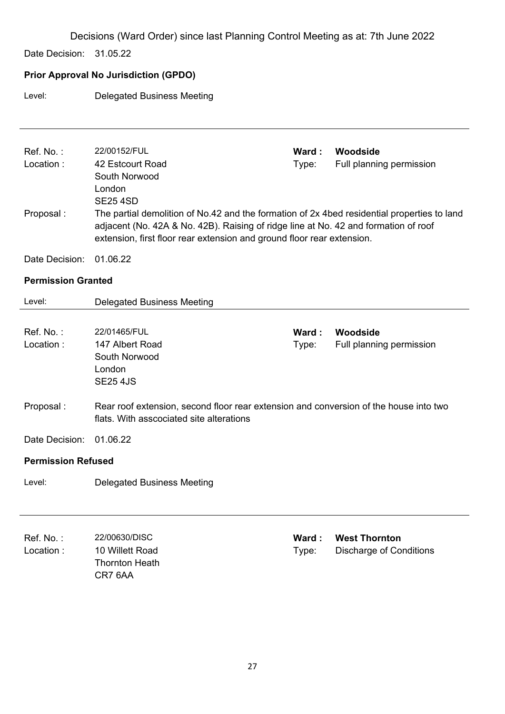Date Decision: 31.05.22

### **Prior Approval No Jurisdiction (GPDO)**

#### Level: Delegated Business Meeting

| Ref. No.:<br>Location:<br>Proposal: | 22/00152/FUL<br>42 Estcourt Road<br>South Norwood<br>London<br><b>SE25 4SD</b><br>The partial demolition of No.42 and the formation of 2x 4bed residential properties to land<br>adjacent (No. 42A & No. 42B). Raising of ridge line at No. 42 and formation of roof<br>extension, first floor rear extension and ground floor rear extension. | Ward:<br>Type: | Woodside<br>Full planning permission                   |  |  |
|-------------------------------------|------------------------------------------------------------------------------------------------------------------------------------------------------------------------------------------------------------------------------------------------------------------------------------------------------------------------------------------------|----------------|--------------------------------------------------------|--|--|
| Date Decision:                      | 01.06.22                                                                                                                                                                                                                                                                                                                                       |                |                                                        |  |  |
| <b>Permission Granted</b>           |                                                                                                                                                                                                                                                                                                                                                |                |                                                        |  |  |
| Level:                              | <b>Delegated Business Meeting</b>                                                                                                                                                                                                                                                                                                              |                |                                                        |  |  |
| Ref. No.:<br>Location:              | 22/01465/FUL<br>147 Albert Road<br>South Norwood<br>London<br><b>SE25 4JS</b>                                                                                                                                                                                                                                                                  | Ward:<br>Type: | Woodside<br>Full planning permission                   |  |  |
| Proposal:                           | Rear roof extension, second floor rear extension and conversion of the house into two<br>flats. With asscociated site alterations                                                                                                                                                                                                              |                |                                                        |  |  |
| Date Decision:                      | 01.06.22                                                                                                                                                                                                                                                                                                                                       |                |                                                        |  |  |
| <b>Permission Refused</b>           |                                                                                                                                                                                                                                                                                                                                                |                |                                                        |  |  |
| Level:                              | <b>Delegated Business Meeting</b>                                                                                                                                                                                                                                                                                                              |                |                                                        |  |  |
| Ref. No.:<br>Location:              | 22/00630/DISC<br>10 Willett Road<br><b>Thornton Heath</b><br>CR7 6AA                                                                                                                                                                                                                                                                           | Ward:<br>Type: | <b>West Thornton</b><br><b>Discharge of Conditions</b> |  |  |